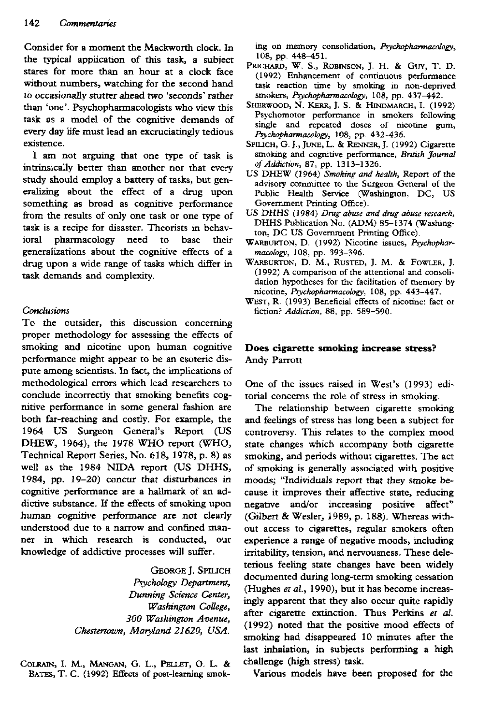Consider for a moment the Mackworth clock. In the typical application of this task, a subject stares for more than an hour at a clock face without numbers, watching for the second hand to occasionally stutter ahead two 'seconds' rather than 'one'. Psychopharmacologists who view this task as a model of the cognitive demands of every day life must lead an excruciatingly tedious existence.

I am not arguing that one type of task is intrinsically better than another nor that every study should employ a battery of tasks, but generalizing about the effect of a drug upon something as broad as cognitive performance from the results of only one task or one type of task is a recipe for disaster. Theorists in behavioral pharmacology need to base their generalizations about the cognitive effects of a drug upon a wide range of tasks which differ in task demands and complexity.

## *Conclusions*

To the outsider, this discussion concerning proper methodology for assessing the effects of smoking and nicotine upon human cognitive perfonnance might appear to be an esoteric dispute among scientists. In fact, the implications of methodological errors which lead researchers to conclude incorrectly that smoking benefits cognitive performance in some general fashion are both far-reaching and costly. For example, the 1964 US Surgeon General's Report (US DHEW, 1964), the 1978 WHO report (WHO, Technical Report Series, No. 618, 1978, p. 8) as well as the 1984 NIDA report (US DHHS, 1984, pp. 19-20) concur that disturbances in cognitive performance are a hallmark of an addictive substance. If the effects of smoking upon human cognitive performance are not clearly understood due to a narrow and confined manner in which research is conducted, our knowledge of addictive processes will suffer.

> GEORGE J. SPUJCH *Psychology Department, Dunning Science Center, Washington College, 300 Washington Avenue, Chestertown, Maryland 21620, USA.*

COLRAIN, I. M., MANGAN, G. L., PELLET, O. L. & BATES, T. C. (1992) Effects of post-learning smoking on memory consolidation, *Psychopharmacolosy,* 108, pp. 448-451.

- PRICHARD, W. S., ROBINSON, J. H. & GUY, T. D. (1992) Enhancement ot continuous performance task reaction time by smoking in non-deprived smokers, *Psydwpharmacology,* 108, pp. 437-442.
- SHERWOOD, N. KERR, J. S. & HINDMARCH, I. (1992) Psychomotor perfonnance in smokers following single and repeated doses of nicotine gum, *Psychopharmacology,* 108, pp. 432-436.
- SFIUCH, G. J., JUNE, L. & RENNER, J. (1992) Cigarette smoking and cognitive performance, *British Joumal of Addiction,* 87, pp. 1313-1326.
- US DHEW (1964) *Smoking and health,* Repon of the advisory committee to the Surgeon General of the Public Health Service (Washington, DC, US Govemment Printing Office).
- US DHHS (i 984) *Drug abuse and drug abuse research,* DHHS Publication No. (ADM) 85-1374 (Washington, DC US Govemment Printing Office).
- WARBURTON, D. (1992) Nicotine issues, *Psychopharmacology,* 108, pp. 393-396.
- WARBURTON, D. M., RUSTED, J. M. & FOWLER, J. (1992) A comparison of the attentional and consolidation hypotheses for the facilitation of memory by nicotine, *Psychopharmacology,* 108, pp, 443-447.
- WEST, R. (1993) Beneficial effects of nicotine: fact or fiction? *Addiction,* 88, pp. 589-590.

## **Does cigarette smoking increase stress?** Andy Parrott

One of the issues raised in West's (1993) editorial concerns the role of stress in smoking.

The relationship between cigarette smoking and feelings of stress has long been a subject for controversy. This relates to the complex mood state changes which accompany both cigarette smoking, and periods without cigarettes. The act of smoking is generally associated with positive moods; "Individuals report that they smoke because it improves their affective state, reducing negative and/or increasing positive affect" (Gilbert & Wesler, 1989, p. 188). Whereas without access to cigarettes, regular smokers often experience a range of negative moods, including irritability, tension, and nervousness. These deleterious feeling state changes have been widely documented during long-term smoking cessation (Hughes *et al.,* 1990), but it has become increasingly apparent that they also occur quite rapidly after cigarette extinction. Thus Perkins *et al.* (1992) noted that the positive mood effects of smoking had disappeared 10 minutes after the last inhalation, in subjects performing a high challenge (high stress) task.

Various models have been proposed for the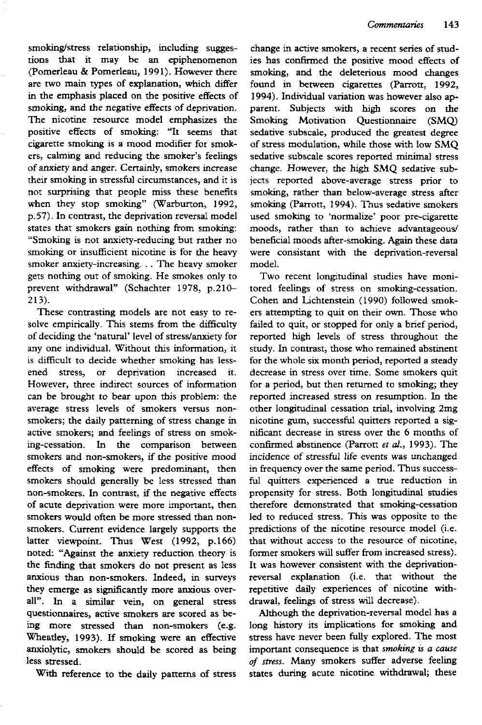smoking/stress relationship, including suggestions that it may be an epiphenomenon (Pomerleau & Pomerleau, 1991). However there are two main types of explanation, which differ in the emphasis placed on the positive effects of smoking, and the negative effects of deprivation. The nicotine resource model emphasizes the positive effects of smoking: "It seems that cigarette smoking is a mood modifier for smokers, calming and reducing the smoker's feelings of anxiety and anger. Certainiy, smokers increase their smoking in stressful circumstances, and it is not surprising that people miss these benefits when they stop smoking" (Warburton, 1992, p.57). In contrast, the deprivation reversal model states that smokers gain nothing from smoking: "Smoking is not anxiety-reducing but rather no smoking or insufficient nicotine is for the heavy smoker anxiety-increasing. . . The heavy smoker gets nothing out of smoking. He smokes only to prevent withdrawal" (Schachter 1978, p.21O-213).

These contrasting models are not easy to resolve empirically. This stems from the difficulty of deciding the 'natural' level of stress/anxiety for any one individual. Without this information, it is difficult to decide whether smoking has lessened stress, or deprivation increased it. However, three indirect sources of information can be brought to bear upon this problem: the average stress levels of smokers versus nonsmokers; the daily patterning of stress change in active smokers; and feelings of stress on smoking-cessation. In the comparison between smokers and non-smokers, if the positive mood effects of smoking were predominant, then smokers should generally be less stressed than non-smokers. In contrast, if the negative effects of acute deprivation were more important, then smokers would often be more stressed than nonsmokers. Current evidence largely supports the latter viewpoint. Thus West (1992, p.166) noted; "Against the anxiety reduction theory is the finding that smokers do not present as less anxious than non-smokers. Indeed, in surveys attribus than non-smokers, mueed, in surveys ally the sign cannot vertex overall". In a similar vein, on general stress questionnaires, active smokers are scored as being more stressed than non-smokers (e.g. Wheatley, 1993). If smoking were an effective anxiolytic, smokers should be scored as being<br>less stressed.

With reference to the daily pattems of stress

change in active smokers, a recent series of studies has confirmed the positive mood effects of smoking, and the deleterious mood changes found in between cigarettes (Parrott, 1992, 1994). Individual variation was however also apparent. Subjects with high scores on the Smoking Motivation Questionnaire (SMQ) sedative subscale, produced the greatest degree of stress modulation, while those with low SMQ sedative subscale scores reported minimal stress change. However, the high SMQ sedative subjects reported above-average stress prior to smoking, rather than below-average stress after smoking (Parrott, 1994). Thus sedative smokers used smoking to 'normalize' poor pre-cigarette moods, rather than to achieve advantageous/ beneficial moods after-smoking. Again these data were consistant with the deprivation-reversal model.

Two recent longitudinal studies have monitored feelings of stress on smoking-cessation. Cohen and Lichtenstein (1990) followed smokers attempting to quit on their own. Those who failed to quit, or stopped for only a brief period, reported high levels of stress throughout the study. In contrast, those who remained abstinent for the whole six month period, reported a steady decrease in stress over time. Some smokers quit for a period, but then retumed to smoking; they reported increased stress on resumption. In the other longitudinal cessation trial, involving 2mg nicotine gum, successful quitters reported a significant decrease in stress over the 6 months of confirmed abstinence (Parrott *et al.,* 1993). The incidence of stressftil life events was unchanged in frequency over the same period. Thus successful quitters experienced a true reduction in propensity for stress. Both longitudinal studies therefore demonstrated that smoking-cessation led to reduced stress. This was opposite to the predictions of the nicotine resource model (i.e. that without access to the resource of nicotine, former smokers will suffer from increased stress). It was however consistent with the deprivationreversal explanation (i.e. that without the reversar explanation (i.e. mai without me repetitive daily experiences of fillow

Although the deprivation-reversal model has a long history its implications for smoking and stress have never been fully explored. The most important consequence is that *smoking is a cause of stress.* Many smokers suffer adverse feeling states during acute nicotine withdrawal; these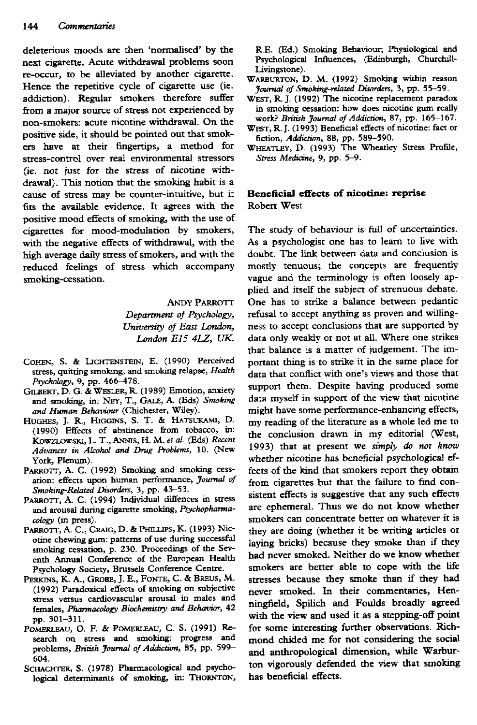deleterious moods are then 'normalised' by the next cigarette. Acute withdrawal prohlems soon re-occur, to be alleviated by another cigarette. Hence the repetitive cycle of cigarette use (ie. addiction). Regular smokers therefore suffer from a major source of stress not experienced by non-smokers: acute nicotine withdrawal. On the positive side, it should be pointed out that smokers have at their fingertips, a method for stress-control over real environmental stressors (ie. not just for the stress of nicotine withdrawal). This notion that the smoking habit is a cause of stress may be counter-intuitive, but it fits the available evidence. It agrees with the positive mood effects of smoking, with the use of cigarettes for mood-modulation by smokers, with the negative effects of withdrawal, with the high average daily stress of smokers, and with the reduced feelings of stress which accompany smoking-cessation.

> ANDY PARROTT *Department of Psychology, University of East London, London E15 4LZ, UK.*

- COHEN, S. & LICHTENSTEIN, E. (1990) Perceived stress, quitting smoking, and smoking relapse, *Health Psychology,* 9, pp. 466-478.
- GILBERT, D. G. & WESLER, R. (1989) Emotion, anxiety and smoking, in: NEY, T., GALE, A. (Eds) Smoking *and Human Behaviour* (Chichester, Wiley).
- HUGHES, J. R., HIGGINS, S. T. & HATSUKAMI, D. (1990) Effects of abstinence from tobacco, in: KowzLowski, L. T., ANNIS, H. M. et al. (Eds) Recent *Advances in Alcohol and Drug Problems,* 10. (New York, Plenum).
- PARROTT, A. C. (1992) Smoking and smoking cessation: effects upon human perfonnance, *Joumal of Smoking-Related Disorders, 3,* pp. 43-53.
- PARROTT, A. C. (1994) Individual diffences in stress and arousal during cigarette smoking, *Psychopharmacology* (in press).
- PARROTT, A. C., CRAIG, D. & PHILLIPS, K. (1993) Nicotine chewing gum: patterns of use during successful smoking cessation, p. 230. Proceedings of the Seventh Annual Conference of the European Health Psychology Society, Brussels Conference Centre.
- PERKINS, K. A., GROBE, J. E., FONTE, C. & BREUS, M. (1992) Paradoxical effects of smoking on subjective stress versus cardiovascular arousal in males and females. *Pharmacology Biochemistry and Behavior,* 42 pp. 301-311.
- PoMEKLEAU, O. F. & POMERLEAU, C. S. (1991) Research on stress and smoking: progress and problems, *Briash Journal of Addiction,* 85, pp. 599- 604.
- SCHACHTER, S. (1978) Pharmacological and psychological determinants of smoking, in: THORNTON,

R.E. (Ed.) Smoking Behaviour; Physiological and Psychological Influences, (Edinburgh, Churchill-Livingstone).

- WARBURTON, D. M. (1992) Smoking within reason *Joumal of Smoking-related Disorders,* 3, pp. 55-59.
- WEST, R. J. (1992) The nicotine replacement paradox in smoking cessation: how does nicotine gum really work? *British Jowmal of Addiction,* 87, pp. 165-167.
- WEST, R. J. (1993) Beneficial effects of nicotine: fact or fiction. *Addiction,* 88, pp. 589-590.
- WHEATLEY, D. (1993) The Wheatley Stress Profile, *Stress Medicine,* 9, pp. 5-9.

## **Beneficial efifects of nicotine: reprise** Robert West

The study of behaviour is full of uncertainties. As a psychologist one has to leam to live with doubt. The link between data and conclusion is mostly tenuous; the concepts are frequently vague and the terminology is often loosely applied and itself the subject of strenuous debate. One has to strike a balance between pedantic refusal to accept anything as proven and willingness to accept conclusions that are supported by data only weakly or not at all. Where one strikes that balance is a matter of judgement. The important thing is to strike it in the same place for data that conflict with one's views and those that support them. Despite having produced some data myself in support of the view that nicotine might have some performance-enhancing effects, my reading of the literature as *&* whole led me to the conclusion drawn in my editorial (West, 1993) that at present we *simply do not know* whether nicotine has beneficial psychological effects of the kind that smokers report they obtain from cigarettes but that the failure to find consistent effects is suggestive that any such effects are ephemeral. Thus we do not know whether smokers can concentrate better on whatever it is they are doing (whether it be writing articles or laying bricks) because they smoke than if they had never smoked. Neither do we know whether smokers are better able to cope with the life stresses because they smoke than if they had never smoked. In their commentaries, Henningfield, Spilich and Foulds broadly agreed with the view and used it as a stepping-off point for some interesting further observations. Richmond chided me for not considering the social and anthropological dimension, while Warburton vigorously defended the view that smoking has beneficial effects.